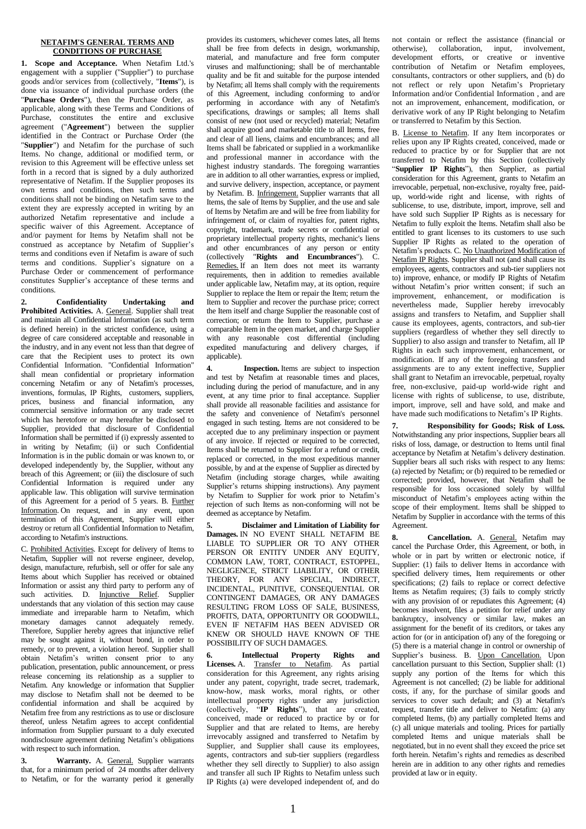## **NETAFIM'S GENERAL TERMS AND CONDITIONS OF PURCHASE**

**1. Scope and Acceptance.** When Netafim Ltd.'s engagement with a supplier ("Supplier") to purchase goods and/or services from (collectively, "**Items**"), is done via issuance of individual purchase orders (the "**Purchase Orders**"), then the Purchase Order, as applicable, along with these Terms and Conditions of Purchase, constitutes the entire and exclusive agreement ("**Agreement**") between the supplier identified in the Contract or Purchase Order (the "**Supplier**") and Netafim for the purchase of such Items. No change, additional or modified term, or revision to this Agreement will be effective unless set forth in a record that is signed by a duly authorized representative of Netafim. If the Supplier proposes its own terms and conditions, then such terms and conditions shall not be binding on Netafim save to the extent they are expressly accepted in writing by an authorized Netafim representative and include a specific waiver of this Agreement. Acceptance of and/or payment for Items by Netafim shall not be construed as acceptance by Netafim of Supplier's terms and conditions even if Netafim is aware of such terms and conditions. Supplier's signature on a Purchase Order or commencement of performance constitutes Supplier's acceptance of these terms and conditions.

**2. Confidentiality Undertaking and**  Prohibited Activities. A. General. Supplier shall treat and maintain all Confidential Information (as such term is defined herein) in the strictest confidence, using a degree of care considered acceptable and reasonable in the industry, and in any event not less than that degree of care that the Recipient uses to protect its own Confidential Information. "Confidential Information" shall mean confidential or proprietary information concerning Netafim or any of Netafim's processes, inventions, formulas, IP Rights, customers, suppliers, prices, business and financial information, any commercial sensitive information or any trade secret which has heretofore or may hereafter be disclosed to Supplier, provided that disclosure of Confidential Information shall be permitted if (i) expressly assented to in writing by Netafim; (ii) or such Confidential Information is in the public domain or was known to, or developed independently by, the Supplier, without any breach of this Agreement; or (iii) the disclosure of such Confidential Information is required under any applicable law. This obligation will survive termination of this Agreement for a period of 5 years. B. Further Information. On request, and in any event, upon termination of this Agreement, Supplier will either destroy or return all Confidential Information to Netafim, according to Netafim's instructions.

C. Prohibited Activities. Except for delivery of Items to Netafim, Supplier will not reverse engineer, develop, design, manufacture, refurbish, sell or offer for sale any Items about which Supplier has received or obtained Information or assist any third party to perform any of such activities. D. Injunctive Relief. Supplier understands that any violation of this section may cause immediate and irreparable harm to Netafim, which monetary damages cannot adequately remedy. Therefore, Supplier hereby agrees that injunctive relief may be sought against it, without bond, in order to remedy, or to prevent, a violation hereof. Supplier shall obtain Netafim's written consent prior to any publication, presentation, public announcement, or press release concerning its relationship as a supplier to Netafim. Any knowledge or information that Supplier may disclose to Netafim shall not be deemed to be confidential information and shall be acquired by Netafim free from any restrictions as to use or disclosure thereof, unless Netafim agrees to accept confidential information from Supplier pursuant to a duly executed nondisclosure agreement defining Netafim's obligations with respect to such information.

**3. Warranty.** A. General. Supplier warrants that, for a minimum period of 24 months after delivery to Netafim, or for the warranty period it generally

provides its customers, whichever comes lates, all Items shall be free from defects in design, workmanship, material, and manufacture and free form computer viruses and malfunctioning; shall be of merchantable quality and be fit and suitable for the purpose intended by Netafim; all Items shall comply with the requirements of this Agreement, including conforming to and/or performing in accordance with any of Netafim's specifications, drawings or samples; all Items shall consist of new (not used or recycled) material; Netafim shall acquire good and marketable title to all Items, free and clear of all liens, claims and encumbrances; and all Items shall be fabricated or supplied in a workmanlike and professional manner in accordance with the highest industry standards. The foregoing warranties are in addition to all other warranties, express or implied, and survive delivery, inspection, acceptance, or payment by Netafim. B. Infringement. Supplier warrants that all Items, the sale of Items by Supplier, and the use and sale of Items by Netafim are and will be free from liability for infringement of, or claim of royalties for, patent rights, copyright, trademark, trade secrets or confidential or proprietary intellectual property rights, mechanic's liens and other encumbrances of any person or entity (collectively "**Rights and Encumbrances**"). C. Remedies. If an Item does not meet its warranty requirements, then in addition to remedies available under applicable law, Netafim may, at its option, require Supplier to replace the Item or repair the Item; return the Item to Supplier and recover the purchase price; correct the Item itself and charge Supplier the reasonable cost of correction; or return the Item to Supplier, purchase a comparable Item in the open market, and charge Supplier with any reasonable cost differential (including expedited manufacturing and delivery charges, if applicable).

**4. Inspection.** Items are subject to inspection and test by Netafim at reasonable times and places, including during the period of manufacture, and in any event, at any time prior to final acceptance. Supplier shall provide all reasonable facilities and assistance for the safety and convenience of Netafim's personnel engaged in such testing. Items are not considered to be accepted due to any preliminary inspection or payment of any invoice. If rejected or required to be corrected, Items shall be returned to Supplier for a refund or credit, replaced or corrected, in the most expeditious manner possible, by and at the expense of Supplier as directed by Netafim (including storage charges, while awaiting Supplier's returns shipping instructions). Any payment by Netafim to Supplier for work prior to Netafim's rejection of such Items as non-conforming will not be deemed as acceptance by Netafim.

**5. Disclaimer and Limitation of Liability for Damages.** IN NO EVENT SHALL NETAFIM BE LIABLE TO SUPPLIER OR TO ANY OTHER PERSON OR ENTITY UNDER ANY EQUITY, COMMON LAW, TORT, CONTRACT, ESTOPPEL, NEGLIGENCE, STRICT LIABILITY, OR OTHER THEORY, FOR ANY SPECIAL, INDIRECT, INCIDENTAL, PUNITIVE, CONSEQUENTIAL OR CONTINGENT DAMAGES, OR ANY DAMAGES RESULTING FROM LOSS OF SALE, BUSINESS, PROFITS, DATA, OPPORTUNITY OR GOODWILL, EVEN IF NETAFIM HAS BEEN ADVISED OR KNEW OR SHOULD HAVE KNOWN OF THE POSSIBILITY OF SUCH DAMAGES.

**6. Intellectual Property Rights and Licenses.** A. Transfer to Netafim. As partial consideration for this Agreement, any rights arising under any patent, copyright, trade secret, trademark, know-how, mask works, moral rights, or other intellectual property rights under any jurisdiction (collectively, "**IP Rights**"), that are created, conceived, made or reduced to practice by or for Supplier and that are related to Items, are hereby irrevocably assigned and transferred to Netafim by Supplier, and Supplier shall cause its employees, agents, contractors and sub-tier suppliers (regardless whether they sell directly to Supplier) to also assign and transfer all such IP Rights to Netafim unless such IP Rights (a) were developed independent of, and do

not contain or reflect the assistance (financial or otherwise), collaboration, input, involvement, development efforts, or creative or inventive contribution of Netafim or Netafim employees, consultants, contractors or other suppliers, and (b) do not reflect or rely upon Netafim's Proprietary Information and/or Confidential Information , and are not an improvement, enhancement, modification, or derivative work of any IP Right belonging to Netafim or transferred to Netafim by this Section.

B. License to Netafim. If any Item incorporates or relies upon any IP Rights created, conceived, made or reduced to practice by or for Supplier that are not transferred to Netafim by this Section (collectively "**Supplier IP Rights**"), then Supplier, as partial consideration for this Agreement, grants to Netafim an irrevocable, perpetual, non-exclusive, royalty free, paidup, world-wide right and license, with rights of sublicense, to use, distribute, import, improve, sell and have sold such Supplier IP Rights as is necessary for Netafim to fully exploit the Items. Netafim shall also be entitled to grant licenses to its customers to use such Supplier IP Rights as related to the operation of Netafim's products. C. No Unauthorized Modification of Netafim IP Rights. Supplier shall not (and shall cause its employees, agents, contractors and sub-tier suppliers not to) improve, enhance, or modify IP Rights of Netafim without Netafim's prior written consent; if such an improvement, enhancement, or modification is nevertheless made, Supplier hereby irrevocably assigns and transfers to Netafim, and Supplier shall cause its employees, agents, contractors, and sub-tier suppliers (regardless of whether they sell directly to Supplier) to also assign and transfer to Netafim, all IP Rights in each such improvement, enhancement, or modification. If any of the foregoing transfers and assignments are to any extent ineffective, Supplier shall grant to Netafim an irrevocable, perpetual, royalty free, non-exclusive, paid-up world-wide right and license with rights of sublicense, to use, distribute, import, improve, sell and have sold, and make and have made such modifications to Netafim's IP Rights.

**7. Responsibility for Goods; Risk of Loss.** Notwithstanding any prior inspections, Supplier bears all risks of loss, damage, or destruction to Items until final acceptance by Netafim at Netafim's delivery destination. Supplier bears all such risks with respect to any Items: (a) rejected by Netafim; or (b) required to be remedied or corrected; provided, however, that Netafim shall be responsible for loss occasioned solely by willful misconduct of Netafim's employees acting within the scope of their employment. Items shall be shipped to Netafim by Supplier in accordance with the terms of this Agreement.

8. **Cancellation.** A. **General.** Netafim may cancel the Purchase Order, this Agreement, or both, in whole or in part by written or electronic notice, if Supplier: (1) fails to deliver Items in accordance with specified delivery times, Item requirements or other specifications; (2) fails to replace or correct defective Items as Netafim requires;  $(3)$  fails to comply strictly with any provision of or repudiates this Agreement; (4) becomes insolvent, files a petition for relief under any bankruptcy, insolvency or similar law, makes an assignment for the benefit of its creditors, or takes any action for (or in anticipation of) any of the foregoing or (5) there is a material change in control or ownership of Supplier's business. B. Upon Cancellation. Upon cancellation pursuant to this Section, Supplier shall:  $(1)$ supply any portion of the Items for which this Agreement is not cancelled; (2) be liable for additional costs, if any, for the purchase of similar goods and services to cover such default; and (3) at Netafim's request, transfer title and deliver to Netafim: (a) any completed Items, (b) any partially completed Items and (c) all unique materials and tooling. Prices for partially completed Items and unique materials shall be negotiated, but in no event shall they exceed the price set forth herein. Netafim's rights and remedies as described herein are in addition to any other rights and remedies provided at law or in equity.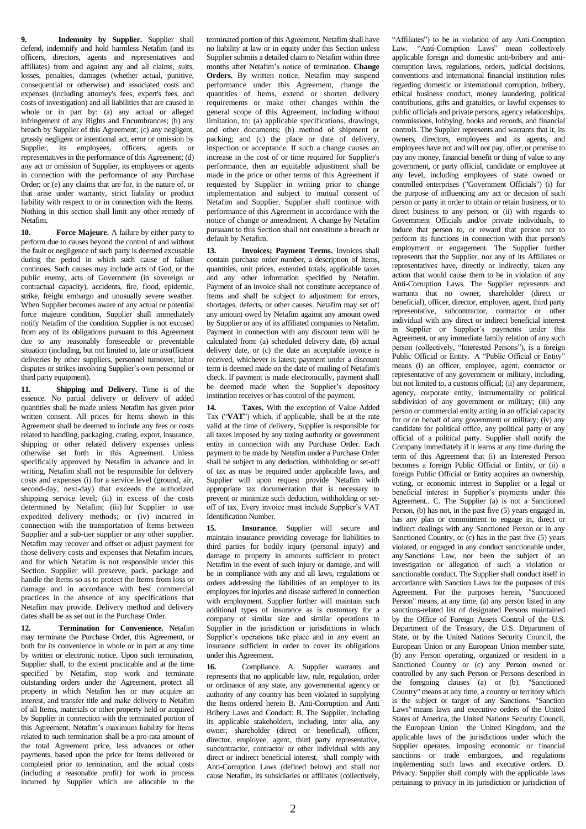**9. Indemnity by Supplier.** Supplier shall defend, indemnify and hold harmless Netafim (and its officers, directors, agents and representatives and affiliates) from and against any and all claims, suits, losses, penalties, damages (whether actual, punitive, consequential or otherwise) and associated costs and expenses (including attorney's fees, expert's fees, and costs of investigation) and all liabilities that are caused in whole or in part by: (a) any actual or alleged infringement of any Rights and Encumbrances; (b) any breach by Supplier of this Agreement; (c) any negligent, grossly negligent or intentional act, error or omission by Supplier, its employees, officers, agents or representatives in the performance of this Agreement; (d) any act or omission of Supplier, its employees or agents in connection with the performance of any Purchase Order; or (e) any claims that are for, in the nature of, or that arise under warranty, strict liability or product liability with respect to or in connection with the Items. Nothing in this section shall limit any other remedy of Netafim.

**10. Force Majeure.** A failure by either party to perform due to causes beyond the control of and without the fault or negligence of such party is deemed excusable during the period in which such cause of failure continues. Such causes may include acts of God, or the public enemy, acts of Government (in sovereign or contractual capacity), accidents, fire, flood, epidemic, strike, freight embargo and unusually severe weather. When Supplier becomes aware of any actual or potential force majeure condition, Supplier shall immediately notify Netafim of the condition. Supplier is not excused from any of its obligations pursuant to this Agreement due to any reasonably foreseeable or preventable situation (including, but not limited to, late or insufficient deliveries by other suppliers, personnel turnover, labor disputes or strikes involving Supplier's own personnel or third party equipment).

**11. Shipping and Delivery.** Time is of the essence. No partial delivery or delivery of added quantities shall be made unless Netafim has given prior written consent. All prices for Items shown in this Agreement shall be deemed to include any fees or costs related to handling, packaging, crating, export, insurance, shipping or other related delivery expenses unless otherwise set forth in this Agreement. Unless specifically approved by Netafim in advance and in writing, Netafim shall not be responsible for delivery costs and expenses (i) for a service level (ground, air, second-day, next-day) that exceeds the authorized shipping service level; (ii) in excess of the costs determined by Netafim; (iii) for Supplier to use expedited delivery methods; or (iv) incurred in connection with the transportation of Items between Supplier and a sub-tier supplier or any other supplier. Netafim may recover and offset or adjust payment for those delivery costs and expenses that Netafim incurs, and for which Netafim is not responsible under this Section. Supplier will preserve, pack, package and handle the Items so as to protect the Items from loss or damage and in accordance with best commercial practices in the absence of any specifications that Netafim may provide. Delivery method and delivery dates shall be as set out in the Purchase Order.

**12. Termination for Convenience.** Netafim may terminate the Purchase Order, this Agreement, or both for its convenience in whole or in part at any time by written or electronic notice. Upon such termination, Supplier shall, to the extent practicable and at the time specified by Netafim, stop work and terminate outstanding orders under the Agreement, protect all property in which Netafim has or may acquire an interest, and transfer title and make delivery to Netafim of all Items, materials or other property held or acquired by Supplier in connection with the terminated portion of this Agreement. Netafim's maximum liability for Items related to such termination shall be a pro-rata amount of the total Agreement price, less advances or other payments, based upon the price for Items delivered or completed prior to termination, and the actual costs (including a reasonable profit) for work in process incurred by Supplier which are allocable to the terminated portion of this Agreement. Netafim shall have no liability at law or in equity under this Section unless Supplier submits a detailed claim to Netafim within three months after Netafim's notice of termination. **Change Orders.** By written notice, Netafim may suspend performance under this Agreement, change the quantities of Items, extend or shorten delivery requirements or make other changes within the general scope of this Agreement, including without limitation, to: (a) applicable specifications, drawings, and other documents; (b) method of shipment or packing; and (c) the place or date of delivery, inspection or acceptance. If such a change causes an increase in the cost of or time required for Supplier's performance, then an equitable adjustment shall be made in the price or other terms of this Agreement if requested by Supplier in writing prior to change implementation and subject to mutual consent of Netafim and Supplier. Supplier shall continue with performance of this Agreement in accordance with the notice of change or amendment. A change by Netafim pursuant to this Section shall not constitute a breach or default by Netafim.

**13. Invoices; Payment Terms.** Invoices shall contain purchase order number, a description of Items, quantities, unit prices, extended totals, applicable taxes and any other information specified by Netafim. Payment of an invoice shall not constitute acceptance of Items and shall be subject to adjustment for errors, shortages, defects, or other causes. Netafim may set off any amount owed by Netafim against any amount owed by Supplier or any of its affiliated companies to Netafim. Payment in connection with any discount term will be calculated from: (a) scheduled delivery date, (b) actual delivery date, or (c) the date an acceptable invoice is received, whichever is latest; payment under a discount term is deemed made on the date of mailing of Netafim's check. If payment is made electronically, payment shall be deemed made when the Supplier's depository institution receives or has control of the payment.

**14. Taxes.** With the exception of Value Added Tax ("**VAT**") which, if applicable, shall be at the rate valid at the time of delivery, Supplier is responsible for all taxes imposed by any taxing authority or government entity in connection with any Purchase Order. Each payment to be made by Netafim under a Purchase Order shall be subject to any deduction, withholding or set-off of tax as may be required under applicable laws, and Supplier will upon request provide Netafim with appropriate tax documentation that is necessary to prevent or minimize such deduction, withholding or setoff of tax. Every invoice must include Supplier's VAT Identification Number.

**15. Insurance**. Supplier will secure and maintain insurance providing coverage for liabilities to third parties for bodily injury (personal injury) and damage to property in amounts sufficient to protect Netafim in the event of such injury or damage, and will be in compliance with any and all laws, regulations or orders addressing the liabilities of an employer to its employees for injuries and disease suffered in connection with employment. Supplier further will maintain such additional types of insurance as is customary for a company of similar size and similar operations to Supplier in the jurisdiction or jurisdictions in which Supplier's operations take place and in any event an insurance sufficient in order to cover its obligations under this Agreement.

**16.** Compliance. A. Supplier warrants and represents that no applicable law, rule, regulation, order or ordinance of any state, any governmental agency or authority of any country has been violated in supplying the Items ordered herein B. Anti-Corruption and Anti Bribery Laws and Conduct: B. The Supplier, including its applicable stakeholders, including, inter alia, any owner, shareholder (direct or beneficial), officer, director, employee, agent, third party representative, subcontractor, contractor or other individual with any direct or indirect beneficial interest, shall comply with Anti-Corruption Laws (defined below) and shall not cause Netafim, its subsidiaries or affiliates (collectively,

"Affiliates") to be in violation of any Anti-Corruption Law. "Anti-Corruption Laws" mean collectively applicable foreign and domestic anti-bribery and anticorruption laws, regulations, orders, judicial decisions, conventions and international financial institution rules regarding domestic or international corruption, bribery, ethical business conduct, money laundering, political contributions, gifts and gratuities, or lawful expenses to public officials and private persons, agency relationships, commissions, lobbying, books and records, and financial controls. The Supplier represents and warrants that it, its owners, directors, employees and its agents, and employees have not and will not pay, offer, or promise to pay any money, financial benefit or thing of value to any government, or party official, candidate or employee at any level, including employees of state owned or controlled enterprises ("Government Officials") (i) for the purpose of influencing any act or decision of such person or party in order to obtain or retain business, or to direct business to any person; or (ii) with regards to Government Officials and/or private individuals, to induce that person to, or reward that person not to perform its functions in connection with that person's employment or engagement. The Supplier further represents that the Supplier, nor any of its Affiliates or representatives have, directly or indirectly, taken any action that would cause them to be in violation of any Anti-Corruption Laws. The Supplier represents and warrants that no owner, shareholder (direct or beneficial), officer, director, employee, agent, third party representative, subcontractor, contractor or other individual with any direct or indirect beneficial interest in Supplier or Supplier's payments under this Agreement, or any immediate family relation of any such person (collectively, "Interested Persons"), is a foreign Public Official or Entity. A "Public Official or Entity" means (i) an officer, employee, agent, contractor or representative of any government or military, including, but not limited to, a customs official; (ii) any department, agency, corporate entity, instrumentality or political subdivision of any government or military; (iii) any person or commercial entity acting in an official capacity for or on behalf of any government or military; (iv) any candidate for political office, any political party or any official of a political party. Supplier shall notify the Company immediately if it learns at any time during the term of this Agreement that (i) an Interested Person becomes a foreign Public Official or Entity, or (ii) a foreign Public Official or Entity acquires an ownership, voting, or economic interest in Supplier or a legal or beneficial interest in Supplier's payments under this Agreement.. C. The Supplier (a) is not a Sanctioned Person, (b) has not, in the past five (5) years engaged in, has any plan or commitment to engage in, direct or indirect dealings with any Sanctioned Person or in any Sanctioned Country, or (c) has in the past five (5) years violated, or engaged in any conduct sanctionable under, any [Sanctions](https://www.lawinsider.com/clause/sanctions) Law, nor been the subject of an investigation or allegation of such a violation or sanctionable conduct. The Supplier shall conduct itself in accordance with Sanction Laws for the purposes of this Agreement. For the purposes herein, "Sanctioned Person" means, at any time, (a) any person listed in any sanctions-related list of designated Persons maintained by the Office of Foreign Assets Control of the U.S. Department of the Treasury, the U.S. Department of State, or by the United Nations Security Council, the European Union or any European Union member state, (b) any Person operating, organized or resident in a Sanctioned Country or (c) any Person owned or controlled by any such Person or Persons described in the foregoing clauses (a) or (b). ["Sanctioned](https://www.lawinsider.com/clause/sanctioned-country)  [Country"](https://www.lawinsider.com/clause/sanctioned-country) means at any time, a country or territory which is the subject or target of any Sanctions. "Sanction Laws" means laws and executive orders of the United States of America, the United Nations Security Council, the European Union the United Kingdom, and the applicable laws of the jurisdictions under which the Supplier operates, imposing economic or financial sanctions or trade embargoes, and regulations implementing such laws and executive orders. D. Privacy. Supplier shall comply with the applicable laws pertaining to privacy in its jurisdiction or jurisdiction of